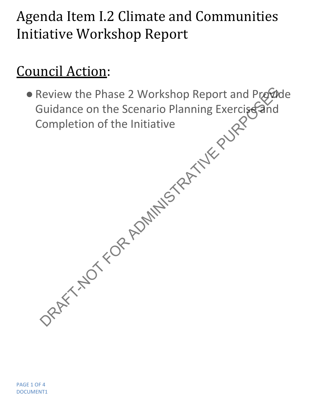## Agenda Item I.2 Climate and Communities Initiative Workshop Report

## Council Action:

● Review the Phase 2 Workshop Report and Provide Guidance on the Scenario Planning Exercise and Completion of the Initiative Review the Phase 2 Workshop Report and Program<br>Buidance on the Scenario Planning Exercises and<br>Completion of the Initiative<br>Completion of the Initiative<br>SPART HOT FOR ADMINISTRATIVE PURPOSES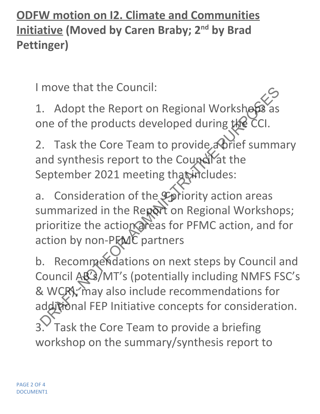**ODFW motion on I2. Climate and Communities Initiative (Moved by Caren Braby; 2nd by Brad Pettinger)**

I move that the Council:

1. Adopt the Report on Regional Workshops as one of the products developed during the CCI.

2. Task the Core Team to provide a brief summary and synthesis report to the Council at the September 2021 meeting that includes:

a. Consideration of the *Spiriority* action areas summarized in the Report on Regional Workshops; prioritize the action areas for PFMC action, and for action by non-PEMC partners

b. Recommendations on next steps by Council and Council AB's/MT's (potentially including NMFS FSC's & WCR); may also include recommendations for additional FEP Initiative concepts for consideration. Task the Core Team to provide a briefing workshop on the summary/synthesis report to move that the Council:<br>  $\therefore$  Adopt the Report on Regional Workshops as<br>  $\therefore$  Adopt the products developed during the CCI.<br>  $\therefore$  Task the Core Team to provide a Orief summ<br>
and synthesis report to the Council at the<br>
de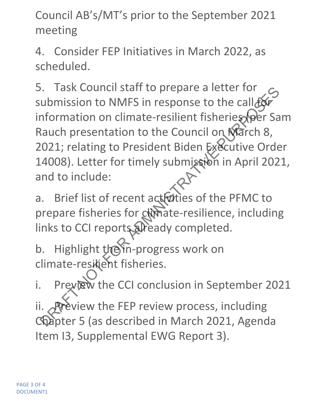Council AB's/MT's prior to the September 2021 meeting

4. Consider FEP Initiatives in March 2022, as scheduled.

5. Task Council staff to prepare a letter for submission to NMFS in response to the call  $f$ information on climate-resilient fisheries (per Sam Rauch presentation to the Council on Narch 8, 2021; relating to President Biden Executive Order 14008). Letter for timely submission in April 2021, and to include: France The Real Formula State of the call for the council on Nimited Testar information on climate-resilient fisheries (per Sa<br>
Rauch presentation to the Council on Niarch 8,<br>
2021; relating to President Biden Executive Or

a. Brief list of recent actidities of the PFMC to prepare fisheries for chimate-resilience, including links to CCI reports already completed.

b. Highlight the in-progress work on climate-resikient fisheries.

i. Preview the CCI conclusion in September 2021 ii. **Pre**view the FEP review process, including Chapter 5 (as described in March 2021, Agenda Item I3, Supplemental EWG Report 3).